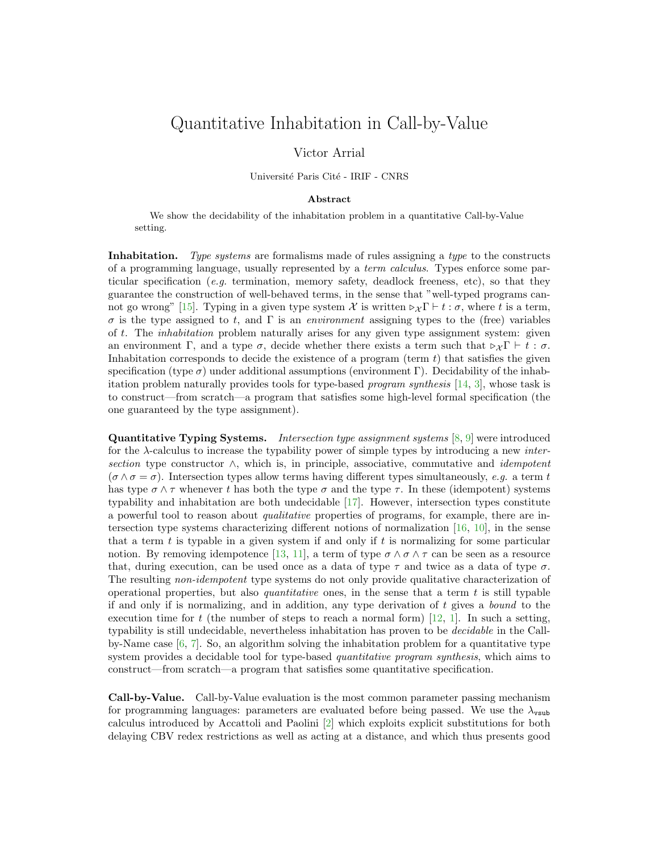## Quantitative Inhabitation in Call-by-Value

## Victor Arrial

Université Paris Cité - IRIF - CNRS

## Abstract

We show the decidability of the inhabitation problem in a quantitative Call-by-Value setting.

Inhabitation. Type systems are formalisms made of rules assigning a type to the constructs of a programming language, usually represented by a term calculus. Types enforce some particular specification (e.g. termination, memory safety, deadlock freeness, etc), so that they guarantee the construction of well-behaved terms, in the sense that "well-typed programs can-not go wrong" [\[15\]](#page-2-0). Typing in a given type system X is written  $\triangleright_{\mathcal{X}} \Gamma \vdash t : \sigma$ , where t is a term, σ is the type assigned to t, and Γ is an environment assigning types to the (free) variables of t. The *inhabitation* problem naturally arises for any given type assignment system: given an environment Γ, and a type  $\sigma$ , decide whether there exists a term such that  $\triangleright_{\mathcal{X}} \Gamma \vdash t : \sigma$ . Inhabitation corresponds to decide the existence of a program (term  $t$ ) that satisfies the given specification (type  $\sigma$ ) under additional assumptions (environment Γ). Decidability of the inhabitation problem naturally provides tools for type-based program synthesis [\[14,](#page-2-1) [3\]](#page-1-0), whose task is to construct—from scratch—a program that satisfies some high-level formal specification (the one guaranteed by the type assignment).

Quantitative Typing Systems. Intersection type assignment systems [\[8,](#page-2-2) [9\]](#page-2-3) were introduced for the  $\lambda$ -calculus to increase the typability power of simple types by introducing a new *inter*section type constructor  $\wedge$ , which is, in principle, associative, commutative and *idempotent*  $(\sigma \wedge \sigma = \sigma)$ . Intersection types allow terms having different types simultaneously, e.g. a term t has type  $\sigma \wedge \tau$  whenever t has both the type  $\sigma$  and the type  $\tau$ . In these (idempotent) systems typability and inhabitation are both undecidable [\[17\]](#page-2-4). However, intersection types constitute a powerful tool to reason about qualitative properties of programs, for example, there are intersection type systems characterizing different notions of normalization [\[16,](#page-2-5) [10\]](#page-2-6), in the sense that a term  $t$  is typable in a given system if and only if  $t$  is normalizing for some particular notion. By removing idempotence [\[13,](#page-2-7) [11\]](#page-2-8), a term of type  $\sigma \wedge \sigma \wedge \tau$  can be seen as a resource that, during execution, can be used once as a data of type  $\tau$  and twice as a data of type  $\sigma$ . The resulting *non-idempotent* type systems do not only provide qualitative characterization of operational properties, but also *quantitative* ones, in the sense that a term  $t$  is still typable if and only if is normalizing, and in addition, any type derivation of  $t$  gives a *bound* to the execution time for t (the number of steps to reach a normal form) [\[12,](#page-2-9) [1\]](#page-1-1). In such a setting, typability is still undecidable, nevertheless inhabitation has proven to be decidable in the Callby-Name case  $[6, 7]$  $[6, 7]$ . So, an algorithm solving the inhabitation problem for a quantitative type system provides a decidable tool for type-based *quantitative program synthesis*, which aims to construct—from scratch—a program that satisfies some quantitative specification.

Call-by-Value. Call-by-Value evaluation is the most common parameter passing mechanism for programming languages: parameters are evaluated before being passed. We use the  $\lambda_{\text{vsub}}$ calculus introduced by Accattoli and Paolini [\[2\]](#page-1-2) which exploits explicit substitutions for both delaying CBV redex restrictions as well as acting at a distance, and which thus presents good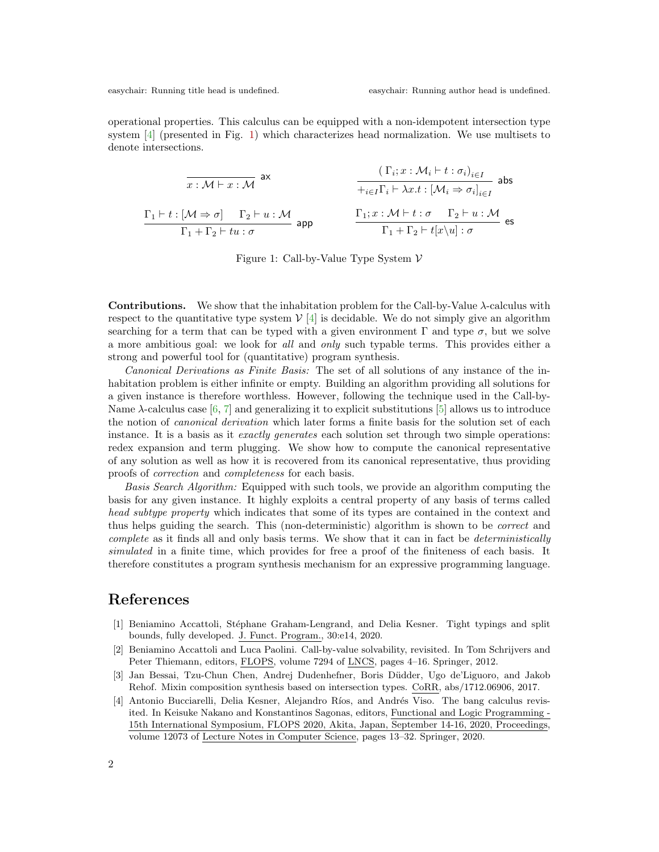easychair: Running title head is undefined. easychair: Running author head is undefined.

operational properties. This calculus can be equipped with a non-idempotent intersection type system [\[4\]](#page-1-3) (presented in Fig. [1\)](#page-1-4) which characterizes head normalization. We use multisets to denote intersections.

$$
\begin{array}{ccc}\n\overline{x:\mathcal{M}\vdash x:\mathcal{M}} & \text{ax} & \text{if } (\Gamma_i;x:\mathcal{M}_i\vdash t:\sigma_i)_{i\in I} \\
\overline{+}_{i\in I}\Gamma_i\vdash \lambda x.t:\left[\mathcal{M}_i\Rightarrow \sigma_i\right]_{i\in I} & \text{abs} \\
\frac{\Gamma_1\vdash t:\left[\mathcal{M}\Rightarrow\sigma\right] & \Gamma_2\vdash u:\mathcal{M}}{\Gamma_1+\Gamma_2\vdash tu:\sigma} & \text{app} & \text{if } \frac{\Gamma_1;x:\mathcal{M}\vdash t:\sigma & \Gamma_2\vdash u:\mathcal{M}}{\Gamma_1+\Gamma_2\vdash t[x\backslash u]:\sigma} & \text{es}\n\end{array}
$$

<span id="page-1-4"></span>Figure 1: Call-by-Value Type System  $V$ 

**Contributions.** We show that the inhabitation problem for the Call-by-Value  $\lambda$ -calculus with respect to the quantitative type system  $V$  [\[4\]](#page-1-3) is decidable. We do not simply give an algorithm searching for a term that can be typed with a given environment  $\Gamma$  and type  $\sigma$ , but we solve a more ambitious goal: we look for all and only such typable terms. This provides either a strong and powerful tool for (quantitative) program synthesis.

Canonical Derivations as Finite Basis: The set of all solutions of any instance of the inhabitation problem is either infinite or empty. Building an algorithm providing all solutions for a given instance is therefore worthless. However, following the technique used in the Call-by-Name  $\lambda$ -calculus case [\[6,](#page-2-10) [7\]](#page-2-11) and generalizing it to explicit substitutions [\[5\]](#page-2-12) allows us to introduce the notion of canonical derivation which later forms a finite basis for the solution set of each instance. It is a basis as it exactly generates each solution set through two simple operations: redex expansion and term plugging. We show how to compute the canonical representative of any solution as well as how it is recovered from its canonical representative, thus providing proofs of correction and completeness for each basis.

Basis Search Algorithm: Equipped with such tools, we provide an algorithm computing the basis for any given instance. It highly exploits a central property of any basis of terms called head subtype property which indicates that some of its types are contained in the context and thus helps guiding the search. This (non-deterministic) algorithm is shown to be correct and complete as it finds all and only basis terms. We show that it can in fact be *deterministically* simulated in a finite time, which provides for free a proof of the finiteness of each basis. It therefore constitutes a program synthesis mechanism for an expressive programming language.

## References

- <span id="page-1-1"></span>[1] Beniamino Accattoli, Stéphane Graham-Lengrand, and Delia Kesner. Tight typings and split bounds, fully developed. J. Funct. Program., 30:e14, 2020.
- <span id="page-1-2"></span>[2] Beniamino Accattoli and Luca Paolini. Call-by-value solvability, revisited. In Tom Schrijvers and Peter Thiemann, editors, FLOPS, volume 7294 of LNCS, pages 4–16. Springer, 2012.
- <span id="page-1-0"></span>[3] Jan Bessai, Tzu-Chun Chen, Andrej Dudenhefner, Boris D¨udder, Ugo de'Liguoro, and Jakob Rehof. Mixin composition synthesis based on intersection types. CoRR, abs/1712.06906, 2017.
- <span id="page-1-3"></span>[4] Antonio Bucciarelli, Delia Kesner, Alejandro Ríos, and Andrés Viso. The bang calculus revisited. In Keisuke Nakano and Konstantinos Sagonas, editors, Functional and Logic Programming - 15th International Symposium, FLOPS 2020, Akita, Japan, September 14-16, 2020, Proceedings, volume 12073 of Lecture Notes in Computer Science, pages 13–32. Springer, 2020.